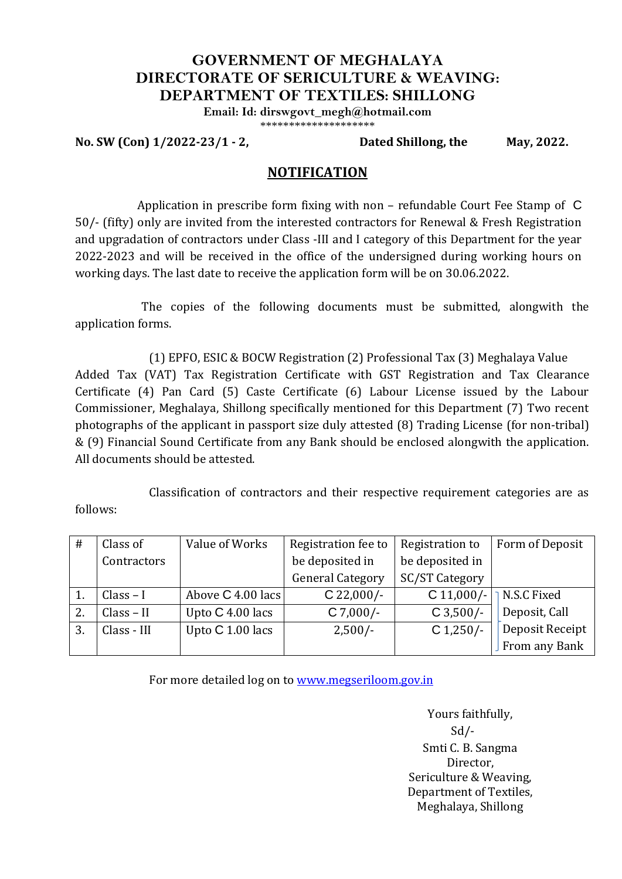## **GOVERNMENT OF MEGHALAYA DIRECTORATE OF SERICULTURE & WEAVING: DEPARTMENT OF TEXTILES: SHILLONG**

**Email: Id: dirswgovt\_megh@hotmail.com**

\*\*\*\*\*\*\*\*\*\*\*\*\*\*\*\*\*\*\*\*

**No. SW (Con) 1/2022-23/1 - 2, Dated Shillong, the May, 2022.**

## **NOTIFICATION**

Application in prescribe form fixing with non – refundable Court Fee Stamp of C 50/- (fifty) only are invited from the interested contractors for Renewal & Fresh Registration and upgradation of contractors under Class -III and I category of this Department for the year 2022-2023 and will be received in the office of the undersigned during working hours on working days. The last date to receive the application form will be on 30.06.2022.

The copies of the following documents must be submitted, alongwith the application forms.

(1) EPFO, ESIC & BOCW Registration (2) Professional Tax (3) Meghalaya Value Added Tax (VAT) Tax Registration Certificate with GST Registration and Tax Clearance Certificate (4) Pan Card (5) Caste Certificate (6) Labour License issued by the Labour Commissioner, Meghalaya, Shillong specifically mentioned for this Department (7) Two recent photographs of the applicant in passport size duly attested (8) Trading License (for non-tribal) & (9) Financial Sound Certificate from any Bank should be enclosed alongwith the application. All documents should be attested.

Classification of contractors and their respective requirement categories are as follows:

| #  | Class of     | Value of Works    | Registration fee to     | Registration to       | Form of Deposit    |
|----|--------------|-------------------|-------------------------|-----------------------|--------------------|
|    | Contractors  |                   | be deposited in         | be deposited in       |                    |
|    |              |                   | <b>General Category</b> | <b>SC/ST Category</b> |                    |
|    | $Class - I$  | Above C 4.00 lacs | $C$ 22,000/-            | $C 11,000/-$          | <b>N.S.C Fixed</b> |
| 2. | $Class - II$ | Upto C 4.00 lacs  | $C$ 7,000/-             | $C$ 3,500/-           | Deposit, Call      |
| 3. | Class - III  | Upto C 1.00 lacs  | $2,500/-$               | $C$ 1,250/-           | Deposit Receipt    |
|    |              |                   |                         |                       | From any Bank      |

For more detailed log on to [www.megseriloom.gov.in](http://www.megseriloom.gov.in/)

Yours faithfully, Sd/- Smti C. B. Sangma Director, Sericulture & Weaving, Department of Textiles, Meghalaya, Shillong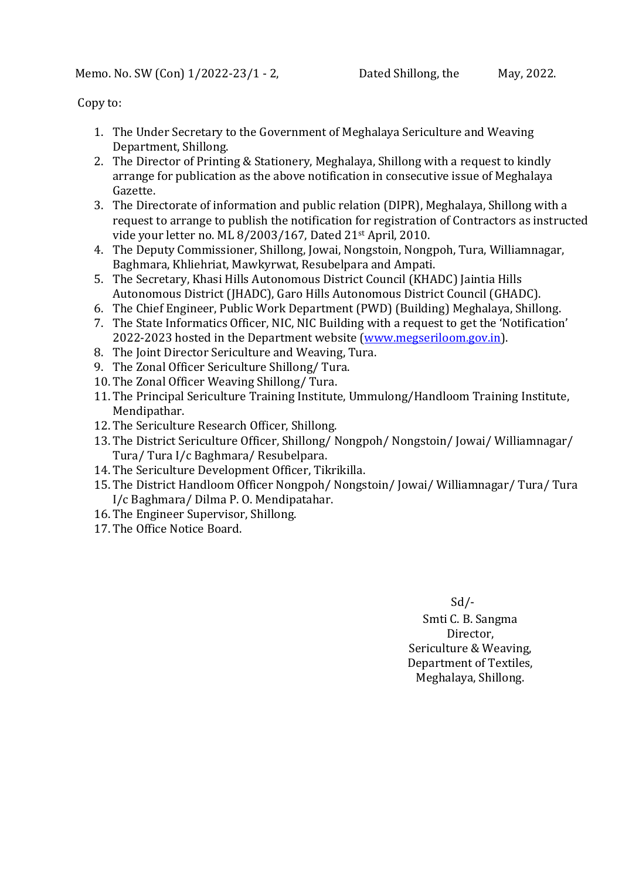Copy to:

- 1. The Under Secretary to the Government of Meghalaya Sericulture and Weaving Department, Shillong.
- 2. The Director of Printing & Stationery, Meghalaya, Shillong with a request to kindly arrange for publication as the above notification in consecutive issue of Meghalaya Gazette.
- 3. The Directorate of information and public relation (DIPR), Meghalaya, Shillong with a request to arrange to publish the notification for registration of Contractors as instructed vide your letter no. ML 8/2003/167, Dated 21st April, 2010.
- 4. The Deputy Commissioner, Shillong, Jowai, Nongstoin, Nongpoh, Tura, Williamnagar, Baghmara, Khliehriat, Mawkyrwat, Resubelpara and Ampati.
- 5. The Secretary, Khasi Hills Autonomous District Council (KHADC) Jaintia Hills Autonomous District (JHADC), Garo Hills Autonomous District Council (GHADC).
- 6. The Chief Engineer, Public Work Department (PWD) (Building) Meghalaya, Shillong.
- 7. The State Informatics Officer, NIC, NIC Building with a request to get the 'Notification' 2022-2023 hosted in the Department website [\(www.megseriloom.gov.in\)](http://www.megseriloom.gov.in/).
- 8. The Joint Director Sericulture and Weaving, Tura.
- 9. The Zonal Officer Sericulture Shillong/ Tura.
- 10. The Zonal Officer Weaving Shillong/ Tura.
- 11. The Principal Sericulture Training Institute, Ummulong/Handloom Training Institute, Mendipathar.
- 12. The Sericulture Research Officer, Shillong.
- 13. The District Sericulture Officer, Shillong/ Nongpoh/ Nongstoin/ Jowai/ Williamnagar/ Tura/ Tura I/c Baghmara/ Resubelpara.
- 14. The Sericulture Development Officer, Tikrikilla.
- 15. The District Handloom Officer Nongpoh/ Nongstoin/ Jowai/ Williamnagar/ Tura/ Tura I/c Baghmara/ Dilma P. O. Mendipatahar.
- 16. The Engineer Supervisor, Shillong.
- 17. The Office Notice Board.

 $Sd$  /-Smti C. B. Sangma Director, Sericulture & Weaving, Department of Textiles, Meghalaya, Shillong.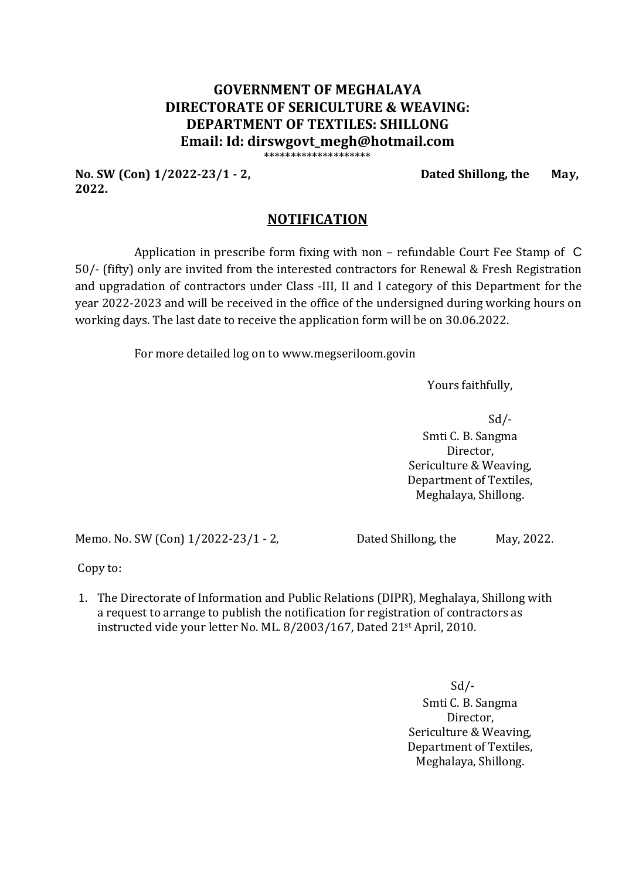## **GOVERNMENT OF MEGHALAYA DIRECTORATE OF SERICULTURE & WEAVING: DEPARTMENT OF TEXTILES: SHILLONG Email: Id: dirswgovt\_megh@hotmail.com** \*\*\*\*\*\*\*\*\*\*\*\*\*\*\*\*\*\*\*\*

**No. SW (Con) 1/2022-23/1 - 2, Dated Shillong, the May, 2022.** 

## **NOTIFICATION**

Application in prescribe form fixing with non – refundable Court Fee Stamp of C 50/- (fifty) only are invited from the interested contractors for Renewal & Fresh Registration and upgradation of contractors under Class -III, II and I category of this Department for the year 2022-2023 and will be received in the office of the undersigned during working hours on working days. The last date to receive the application form will be on 30.06.2022.

For more detailed log on to www.megseriloom.govin

Yours faithfully,

Sd/- Smti C. B. Sangma Director, Sericulture & Weaving, Department of Textiles, Meghalaya, Shillong.

Memo. No. SW (Con) 1/2022-23/1 - 2, Dated Shillong, the May, 2022.

Copy to:

1. The Directorate of Information and Public Relations (DIPR), Meghalaya, Shillong with a request to arrange to publish the notification for registration of contractors as instructed vide your letter No. ML. 8/2003/167, Dated 21st April, 2010.

> $Sd$  /-Smti C. B. Sangma Director, Sericulture & Weaving, Department of Textiles, Meghalaya, Shillong.